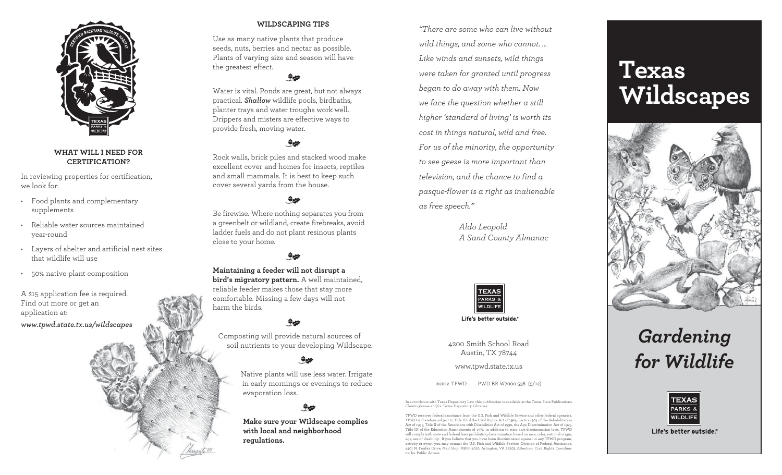

### **What Will I Need for Certification?**

In reviewing properties for certification, we look for:

- • Food plants and complementary supplements
- Reliable water sources maintained year-round
- • Layers of shelter and artificial nest sites that wildlife will use
- • 50% native plant composition

A \$15 application fee is required. Find out more or get an application at: *www.tpwd.state.tx.us/wildscapes*



### **Wildscaping Tips**

Use as many native plants that produce seeds, nuts, berries and nectar as possible. Plants of varying size and season will have the greatest effect.

 $rac{1}{\sqrt{2}}$ Water is vital. Ponds are great, but not always practical. *Shallow* wildlife pools, birdbaths, planter trays and water troughs work well. Drippers and misters are effective ways to

provide fresh, moving water.

## $rac{1}{\sqrt{2}}$

Rock walls, brick piles and stacked wood make excellent cover and homes for insects, reptiles and small mammals. It is best to keep such cover several yards from the house.

## $rac{1}{\sqrt{2}}$

Be firewise. Where nothing separates you from a greenbelt or wildland, create firebreaks, avoid ladder fuels and do not plant resinous plants close to your home.

 $rac{1}{\sqrt{2}}$ 

**Maintaining a feeder will not disrupt a bird's migratory pattern.** A well maintained, reliable feeder makes those that stay more comfortable. Missing a few days will not harm the birds.

## $rac{1}{\sqrt{2}}$

Composting will provide natural sources of soil nutrients to your developing Wildscape.

## $rac{4}{\sqrt{2}}$

Native plants will use less water. Irrigate in early mornings or evenings to reduce evaporation loss.

## $rac{1}{\sqrt{2}}$

**Make sure your Wildscape complies with local and neighborhood regulations.**

*"There are some who can live without wild things, and some who cannot. … Like winds and sunsets, wild things were taken for granted until progress began to do away with them. Now we face the question whether a still higher 'standard of living' is worth its cost in things natural, wild and free. For us of the minority, the opportunity to see geese is more important than television, and the chance to find a pasque-flower is a right as inalienable as free speech."*

> *Aldo Leopold A Sand County Almanac*



Life's better outside.®

4200 Smith School Road Austin, TX 78744

www.tpwd.state.tx.us

©2012 TPWD PWD BR W7000-538 (5/12)

In accordance with Texas Depository Law, this publication is available at the Texas State Publications Clearinghouse and/or Texas Depository Libraries.

TPWD receives feeleral assistance from the U.S. Fish and Wildlife Service and other feeleral agencies.<br>TPWD is therefore subject to Title VI of the Civil Rights Act of 1964, Section 504 of the Rehabilitation<br>Act of 1973, T age, sex or disability. If you believe that you have been discriminated against in any TPWD program, activity or event, you may contact the U.S. Fish and Wildlife Service, Division of Federal Assistance, 4401 N. Fairfax Drive, Mail Stop: MBSP-4020, Arlington, VA 22203, Attention: Civil Rights Coordinator for Public Access.

# **Texas Wildscapes**







Life's better outside.®